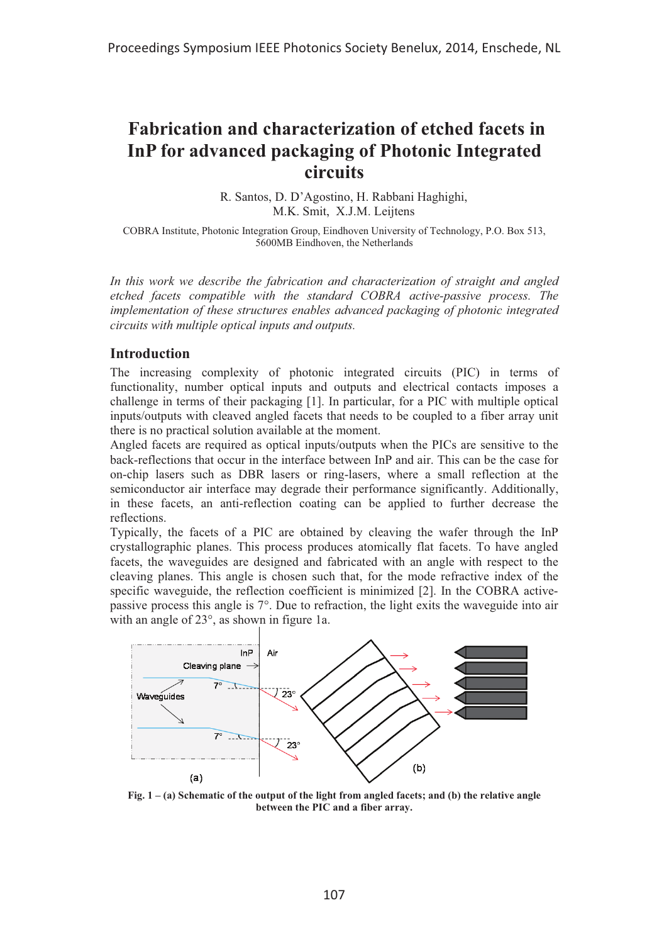# **Fabrication and characterization of etched facets in InP for advanced packaging of Photonic Integrated circuits**

R. Santos, D. D'Agostino, H. Rabbani Haghighi, M.K. Smit, X.J.M. Leijtens

COBRA Institute, Photonic Integration Group, Eindhoven University of Technology, P.O. Box 513, 5600MB Eindhoven, the Netherlands

*In this work we describe the fabrication and characterization of straight and angled etched facets compatible with the standard COBRA active-passive process. The implementation of these structures enables advanced packaging of photonic integrated circuits with multiple optical inputs and outputs.* 

### **Introduction**

The increasing complexity of photonic integrated circuits (PIC) in terms of functionality, number optical inputs and outputs and electrical contacts imposes a challenge in terms of their packaging [1]. In particular, for a PIC with multiple optical inputs/outputs with cleaved angled facets that needs to be coupled to a fiber array unit there is no practical solution available at the moment.

Angled facets are required as optical inputs/outputs when the PICs are sensitive to the back-reflections that occur in the interface between InP and air. This can be the case for on-chip lasers such as DBR lasers or ring-lasers, where a small reflection at the semiconductor air interface may degrade their performance significantly. Additionally, in these facets, an anti-reflection coating can be applied to further decrease the reflections.

Typically, the facets of a PIC are obtained by cleaving the wafer through the InP crystallographic planes. This process produces atomically flat facets. To have angled facets, the waveguides are designed and fabricated with an angle with respect to the cleaving planes. This angle is chosen such that, for the mode refractive index of the specific waveguide, the reflection coefficient is minimized [2]. In the COBRA activepassive process this angle is 7°. Due to refraction, the light exits the waveguide into air with an angle of 23°, as shown in figure 1a.



**Fig. 1 – (a) Schematic of the output of the light from angled facets; and (b) the relative angle between the PIC and a fiber array.**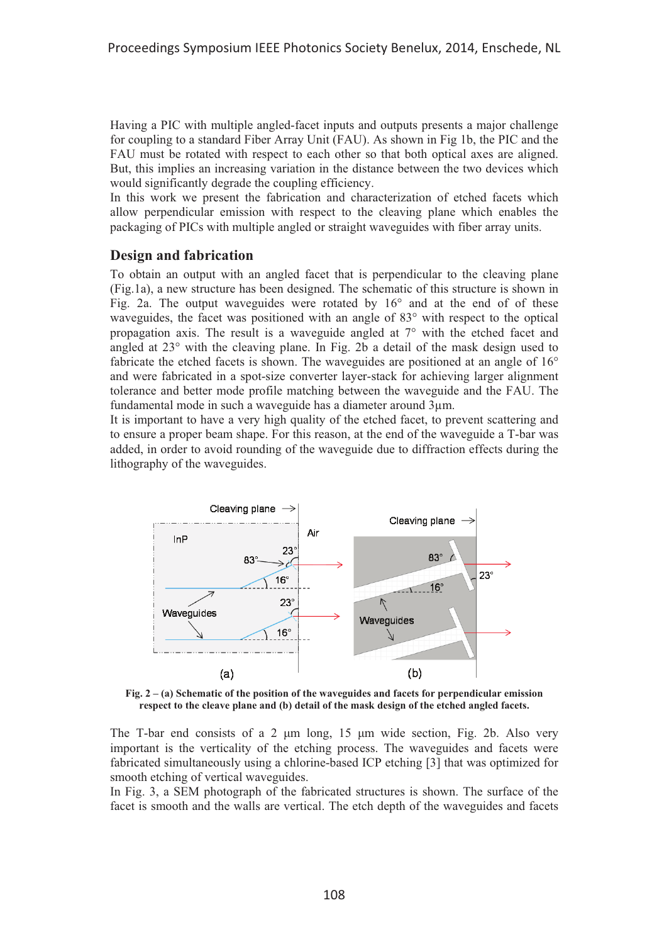Having a PIC with multiple angled-facet inputs and outputs presents a major challenge for coupling to a standard Fiber Array Unit (FAU). As shown in Fig 1b, the PIC and the FAU must be rotated with respect to each other so that both optical axes are aligned. But, this implies an increasing variation in the distance between the two devices which would significantly degrade the coupling efficiency.

In this work we present the fabrication and characterization of etched facets which allow perpendicular emission with respect to the cleaving plane which enables the packaging of PICs with multiple angled or straight waveguides with fiber array units.

## **Design and fabrication**

To obtain an output with an angled facet that is perpendicular to the cleaving plane (Fig.1a), a new structure has been designed. The schematic of this structure is shown in Fig. 2a. The output waveguides were rotated by 16° and at the end of of these waveguides, the facet was positioned with an angle of 83° with respect to the optical propagation axis. The result is a waveguide angled at 7° with the etched facet and angled at 23° with the cleaving plane. In Fig. 2b a detail of the mask design used to fabricate the etched facets is shown. The waveguides are positioned at an angle of 16° and were fabricated in a spot-size converter layer-stack for achieving larger alignment tolerance and better mode profile matching between the waveguide and the FAU. The fundamental mode in such a waveguide has a diameter around 3μm.

It is important to have a very high quality of the etched facet, to prevent scattering and to ensure a proper beam shape. For this reason, at the end of the waveguide a T-bar was added, in order to avoid rounding of the waveguide due to diffraction effects during the lithography of the waveguides.



**Fig. 2 – (a) Schematic of the position of the waveguides and facets for perpendicular emission respect to the cleave plane and (b) detail of the mask design of the etched angled facets.** 

The T-bar end consists of a 2  $\mu$ m long, 15  $\mu$ m wide section, Fig. 2b. Also very important is the verticality of the etching process. The waveguides and facets were fabricated simultaneously using a chlorine-based ICP etching [3] that was optimized for smooth etching of vertical waveguides.

In Fig. 3, a SEM photograph of the fabricated structures is shown. The surface of the facet is smooth and the walls are vertical. The etch depth of the waveguides and facets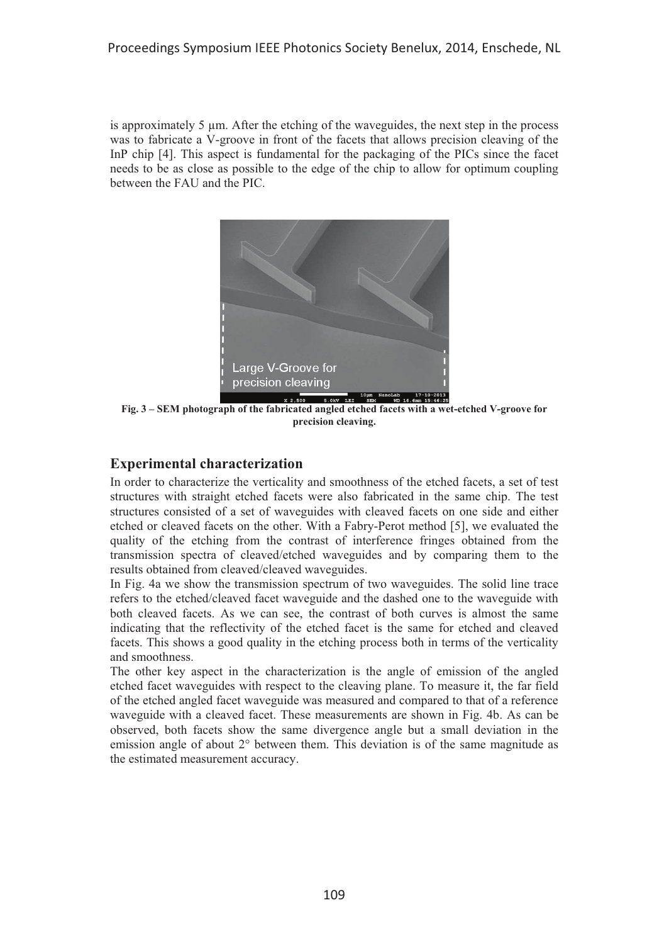is approximately 5 μm. After the etching of the waveguides, the next step in the process was to fabricate a V-groove in front of the facets that allows precision cleaving of the InP chip [4]. This aspect is fundamental for the packaging of the PICs since the facet needs to be as close as possible to the edge of the chip to allow for optimum coupling between the FAU and the PIC.



**Fig. 3 – SEM photograph of the fabricated angled etched facets with a wet-etched V-groove for precision cleaving.** 

# **Experimental characterization**

In order to characterize the verticality and smoothness of the etched facets, a set of test structures with straight etched facets were also fabricated in the same chip. The test structures consisted of a set of waveguides with cleaved facets on one side and either etched or cleaved facets on the other. With a Fabry-Perot method [5], we evaluated the quality of the etching from the contrast of interference fringes obtained from the transmission spectra of cleaved/etched waveguides and by comparing them to the results obtained from cleaved/cleaved waveguides.

In Fig. 4a we show the transmission spectrum of two waveguides. The solid line trace refers to the etched/cleaved facet waveguide and the dashed one to the waveguide with both cleaved facets. As we can see, the contrast of both curves is almost the same indicating that the reflectivity of the etched facet is the same for etched and cleaved facets. This shows a good quality in the etching process both in terms of the verticality and smoothness.

The other key aspect in the characterization is the angle of emission of the angled etched facet waveguides with respect to the cleaving plane. To measure it, the far field of the etched angled facet waveguide was measured and compared to that of a reference waveguide with a cleaved facet. These measurements are shown in Fig. 4b. As can be observed, both facets show the same divergence angle but a small deviation in the emission angle of about 2° between them. This deviation is of the same magnitude as the estimated measurement accuracy.